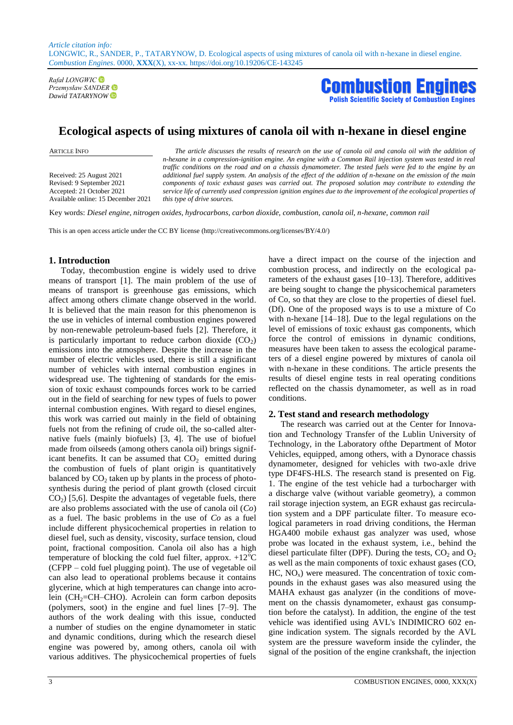*Rafał LONGWIC Przemysław SANDER*



# **Ecological aspects of using mixtures of canola oil with n-hexane in diesel engine**

Received: 25 August 2021 Revised: 9 September 2021 Accepted: 21 October 2021 Available online: 15 December 2021

ARTICLE INFO *The article discusses the results of research on the use of canola oil and canola oil with the addition of n-hexane in a compression-ignition engine. An engine with a Common Rail injection system was tested in real traffic conditions on the road and on a chassis dynamometer. The tested fuels were fed to the engine by an additional fuel supply system. An analysis of the effect of the addition of n-hexane on the emission of the main components of toxic exhaust gases was carried out. The proposed solution may contribute to extending the service life of currently used compression ignition engines due to the improvement of the ecological properties of this type of drive sources.*

Key words: *Diesel engine, nitrogen oxides, hydrocarbons, carbon dioxide, combustion, canola oil, n-hexane, common rail*

This is an open access article under the CC BY license (http://creativecommons.org/licenses/BY/4.0/)

#### **1. Introduction**

Today, thecombustion engine is widely used to drive means of transport [1]. The main problem of the use of means of transport is greenhouse gas emissions, which affect among others climate change observed in the world. It is believed that the main reason for this phenomenon is the use in vehicles of internal combustion engines powered by non-renewable petroleum-based fuels [2]. Therefore, it is particularly important to reduce carbon dioxide  $(CO<sub>2</sub>)$ emissions into the atmosphere. Despite the increase in the number of electric vehicles used, there is still a significant number of vehicles with internal combustion engines in widespread use. The tightening of standards for the emission of toxic exhaust compounds forces work to be carried out in the field of searching for new types of fuels to power internal combustion engines. With regard to diesel engines, this work was carried out mainly in the field of obtaining fuels not from the refining of crude oil, the so-called alternative fuels (mainly biofuels) [3, 4]. The use of biofuel made from oilseeds (among others canola oil) brings significant benefits. It can be assumed that  $CO<sub>2</sub>$  emitted during the combustion of fuels of plant origin is quantitatively balanced by  $CO<sub>2</sub>$  taken up by plants in the process of photosynthesis during the period of plant growth (closed circuit  $CO<sub>2</sub>$ ) [5,6]. Despite the advantages of vegetable fuels, there are also problems associated with the use of canola oil (*Co*) as a fuel. The basic problems in the use of *Co* as a fuel include different physicochemical properties in relation to diesel fuel, such as density, viscosity, surface tension, cloud point, fractional composition. Canola oil also has a high temperature of blocking the cold fuel filter, approx.  $+12^{\circ}C$ (CFPP – cold fuel plugging point). The use of vegetable oil can also lead to operational problems because it contains glycerine, which at high temperatures can change into acrolein ( $CH<sub>2</sub>=CH–CHO$ ). Acrolein can form carbon deposits (polymers, soot) in the engine and fuel lines [7–9]. The authors of the work dealing with this issue, conducted a number of studies on the engine dynamometer in static and dynamic conditions, during which the research diesel engine was powered by, among others, canola oil with various additives. The physicochemical properties of fuels combustion process, and indirectly on the ecological parameters of the exhaust gases [10–13]. Therefore, additives are being sought to change the physicochemical parameters of Co, so that they are close to the properties of diesel fuel. (Df). One of the proposed ways is to use a mixture of Co with n-hexane [14–18]. Due to the legal regulations on the level of emissions of toxic exhaust gas components, which force the control of emissions in dynamic conditions, measures have been taken to assess the ecological parameters of a diesel engine powered by mixtures of canola oil with n-hexane in these conditions. The article presents the results of diesel engine tests in real operating conditions reflected on the chassis dynamometer, as well as in road conditions.

have a direct impact on the course of the injection and

### **2. Test stand and research methodology**

The research was carried out at the Center for Innovation and Technology Transfer of the Lublin University of Technology, in the Laboratory ofthe Department of Motor Vehicles, equipped, among others, with a Dynorace chassis dynamometer, designed for vehicles with two-axle drive type DF4FS-HLS. The research stand is presented on Fig. 1. The engine of the test vehicle had a turbocharger with a discharge valve (without variable geometry), a common rail storage injection system, an EGR exhaust gas recirculation system and a DPF particulate filter. To measure ecological parameters in road driving conditions, the Herman HGA400 mobile exhaust gas analyzer was used, whose probe was located in the exhaust system, i.e., behind the diesel particulate filter (DPF). During the tests,  $CO<sub>2</sub>$  and  $O<sub>2</sub>$ as well as the main components of toxic exhaust gases (CO,  $HC, NO<sub>x</sub>$ ) were measured. The concentration of toxic compounds in the exhaust gases was also measured using the MAHA exhaust gas analyzer (in the conditions of movement on the chassis dynamometer, exhaust gas consumption before the catalyst). In addition, the engine of the test vehicle was identified using AVL's INDIMICRO 602 engine indication system. The signals recorded by the AVL system are the pressure waveform inside the cylinder, the signal of the position of the engine crankshaft, the injection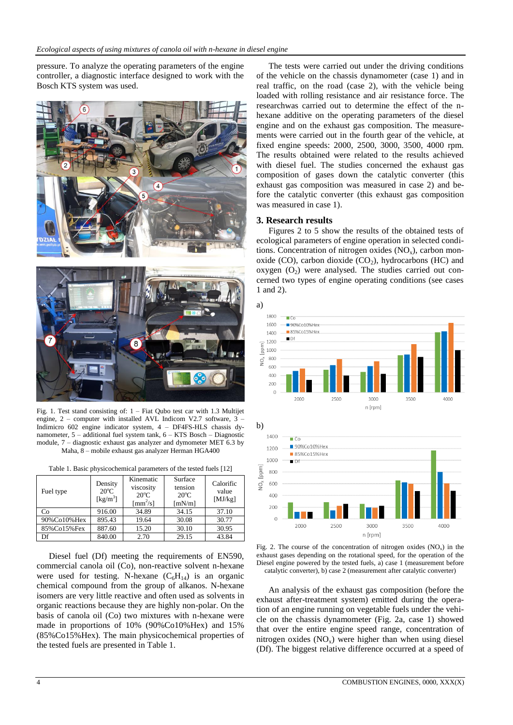pressure. To analyze the operating parameters of the engine controller, a diagnostic interface designed to work with the Bosch KTS system was used.



Fig. 1. Test stand consisting of: 1 – Fiat Qubo test car with 1.3 Multijet engine, 2 – computer with installed AVL Indicom V2.7 software, 3 – Indimicro 602 engine indicator system, 4 – DF4FS-HLS chassis dynamometer, 5 – additional fuel system tank, 6 – KTS Bosch – Diagnostic module,  $7 -$  diagnostic exhaust gas analyzer and dymometer MET 6.3 by Maha, 8 – mobile exhaust gas analyzer Herman HGA400

Table 1. Basic physicochemical parameters of the tested fuels [12]

| Fuel type     | Density<br>$20^{\circ}$ C<br>$\lceil \text{kg/m}^3 \rceil$ | Kinematic<br>viscosity<br>$20^{\circ}$ C<br>$\text{[mm}^2/\text{s}]$ | Surface<br>tension<br>$20^{\circ}$ C<br>[mN/m] | Calorific<br>value<br>[MJ/kg] |
|---------------|------------------------------------------------------------|----------------------------------------------------------------------|------------------------------------------------|-------------------------------|
| Co            | 916.00                                                     | 34.89                                                                | 34.15                                          | 37.10                         |
| 90%Co10%Hex   | 895.43                                                     | 19.64                                                                | 30.08                                          | 30.77                         |
| 85% Co15% Fex | 887.60                                                     | 15.20                                                                | 30.10                                          | 30.95                         |
| Df            | 840.00                                                     | 2.70                                                                 | 29.15                                          | 43.84                         |

Diesel fuel (Df) meeting the requirements of EN590, commercial canola oil (Co), non-reactive solvent n-hexane were used for testing. N-hexane  $(C_6H_{14})$  is an organic chemical compound from the group of alkanos. N-hexane isomers are very little reactive and often used as solvents in organic reactions because they are highly non-polar. On the basis of canola oil (Co) two mixtures with n-hexane were made in proportions of 10% (90%Co10%Hex) and 15% (85%Co15%Hex). The main physicochemical properties of the tested fuels are presented in Table 1.

The tests were carried out under the driving conditions of the vehicle on the chassis dynamometer (case 1) and in real traffic, on the road (case 2), with the vehicle being loaded with rolling resistance and air resistance force. The researchwas carried out to determine the effect of the nhexane additive on the operating parameters of the diesel engine and on the exhaust gas composition. The measurements were carried out in the fourth gear of the vehicle, at fixed engine speeds: 2000, 2500, 3000, 3500, 4000 rpm. The results obtained were related to the results achieved with diesel fuel. The studies concerned the exhaust gas composition of gases down the catalytic converter (this exhaust gas composition was measured in case 2) and before the catalytic converter (this exhaust gas composition was measured in case 1).

### **3. Research results**

Figures 2 to 5 show the results of the obtained tests of ecological parameters of engine operation in selected conditions. Concentration of nitrogen oxides  $(NO<sub>x</sub>)$ , carbon monoxide (CO), carbon dioxide  $(CO<sub>2</sub>)$ , hydrocarbons (HC) and oxygen  $(O_2)$  were analysed. The studies carried out concerned two types of engine operating conditions (see cases 1 and 2).



Fig. 2. The course of the concentration of nitrogen oxides  $(NO_x)$  in the exhaust gases depending on the rotational speed, for the operation of the Diesel engine powered by the tested fuels, a) case 1 (measurement before catalytic converter), b) case 2 (measurement after catalytic converter)

An analysis of the exhaust gas composition (before the exhaust after-treatment system) emitted during the operation of an engine running on vegetable fuels under the vehicle on the chassis dynamometer (Fig. 2a, case 1) showed that over the entire engine speed range, concentration of nitrogen oxides  $(NO_x)$  were higher than when using diesel (Df). The biggest relative difference occurred at a speed of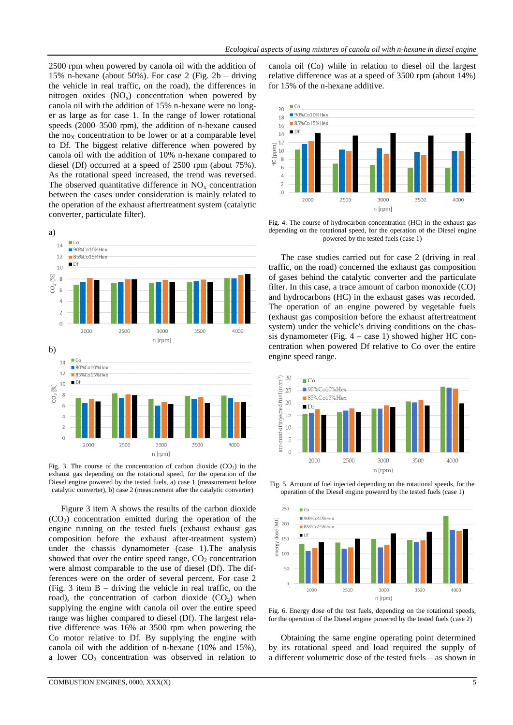2500 rpm when powered by canola oil with the addition of 15% n-hexane (about 50%). For case 2 (Fig. 2b – driving the vehicle in real traffic, on the road), the differences in nitrogen oxides  $(NO<sub>x</sub>)$  concentration when powered by canola oil with the addition of 15% n-hexane were no longer as large as for case 1. In the range of lower rotational speeds (2000–3500 rpm), the addition of n-hexane caused the  $no_x$  concentration to be lower or at a comparable level to Df. The biggest relative difference when powered by canola oil with the addition of 10% n-hexane compared to diesel (Df) occurred at a speed of 2500 rpm (about 75%). As the rotational speed increased, the trend was reversed. The observed quantitative difference in  $NO<sub>x</sub>$  concentration between the cases under consideration is mainly related to the operation of the exhaust aftertreatment system (catalytic converter, particulate filter).



Fig. 3. The course of the concentration of carbon dioxide  $(CO<sub>2</sub>)$  in the exhaust gas depending on the rotational speed, for the operation of the Diesel engine powered by the tested fuels, a) case 1 (measurement before catalytic converter), b) case 2 (measurement after the catalytic converter)

Figure 3 item A shows the results of the carbon dioxide  $(CO<sub>2</sub>)$  concentration emitted during the operation of the engine running on the tested fuels (exhaust exhaust gas composition before the exhaust after-treatment system) under the chassis dynamometer (case 1).The analysis showed that over the entire speed range,  $CO<sub>2</sub>$  concentration were almost comparable to the use of diesel (Df). The differences were on the order of several percent. For case 2 (Fig. 3 item B – driving the vehicle in real traffic, on the road), the concentration of carbon dioxide  $(CO<sub>2</sub>)$  when supplying the engine with canola oil over the entire speed range was higher compared to diesel (Df). The largest relative difference was 16% at 3500 rpm when powering the Co motor relative to Df. By supplying the engine with canola oil with the addition of n-hexane (10% and 15%), a lower  $CO<sub>2</sub>$  concentration was observed in relation to canola oil (Co) while in relation to diesel oil the largest relative difference was at a speed of 3500 rpm (about 14%) for 15% of the n-hexane additive.



Fig. 4. The course of hydrocarbon concentration (HC) in the exhaust gas depending on the rotational speed, for the operation of the Diesel engine powered by the tested fuels (case 1)

The case studies carried out for case 2 (driving in real traffic, on the road) concerned the exhaust gas composition of gases behind the catalytic converter and the particulate filter. In this case, a trace amount of carbon monoxide (CO) and hydrocarbons (HC) in the exhaust gases was recorded. The operation of an engine powered by vegetable fuels (exhaust gas composition before the exhaust aftertreatment system) under the vehicle's driving conditions on the chassis dynamometer (Fig.  $4 - \cose 1$ ) showed higher HC concentration when powered Df relative to Co over the entire engine speed range.







Fig. 6. Energy dose of the test fuels, depending on the rotational speeds, for the operation of the Diesel engine powered by the tested fuels (case 2)

Obtaining the same engine operating point determined by its rotational speed and load required the supply of a different volumetric dose of the tested fuels – as shown in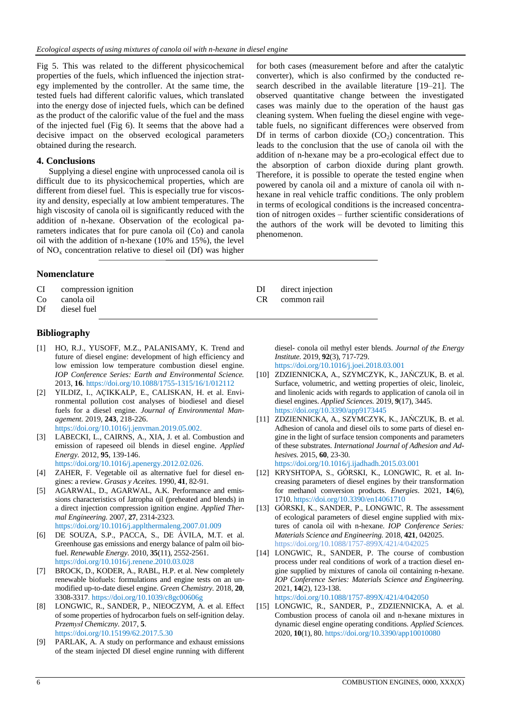Fig 5. This was related to the different physicochemical properties of the fuels, which influenced the injection strategy implemented by the controller. At the same time, the tested fuels had different calorific values, which translated into the energy dose of injected fuels, which can be defined as the product of the calorific value of the fuel and the mass of the injected fuel (Fig 6). It seems that the above had a decisive impact on the observed ecological parameters obtained during the research.

## **4. Conclusions**

Supplying a diesel engine with unprocessed canola oil is difficult due to its physicochemical properties, which are different from diesel fuel. This is especially true for viscosity and density, especially at low ambient temperatures. The high viscosity of canola oil is significantly reduced with the addition of n-hexane. Observation of the ecological parameters indicates that for pure canola oil (Co) and canola oil with the addition of n-hexane (10% and 15%), the level of NO<sup>x</sup> concentration relative to diesel oil (Df) was higher

# **Nomenclature**

- CI compression ignition
- Co canola oil
- Df diesel fuel

# **Bibliography**

- [1] HO, R.J., YUSOFF, M.Z., PALANISAMY, K. Trend and future of diesel engine: development of high efficiency and low emission low temperature combustion diesel engine. *IOP Conference Series: Earth and Environmental Science.* 2013, **16**. https://doi.org/10.1088/1755-1315/16/1/012112
- [2] YILDIZ, I., AÇIKKALP, E., CALISKAN, H. et al. Environmental pollution cost analyses of biodiesel and diesel fuels for a diesel engine. *Journal of Environmental Management.* 2019, **243**, 218-226. [https://doi.org/10.1016/j.jenvman.2019.05.002.](https://doi.org/10.1016/j.jenvman.2019.05.002)
- LABECKI, L., CAIRNS, A., XIA, J. et al. Combustion and emission of rapeseed oil blends in diesel engine. *Applied Energy.* 2012, **95**, 139-146. https://doi.org/10.1016/j.apenergy.2012.02.026.
- [4] ZAHER, F. Vegetable oil as alternative fuel for diesel engines: a review. *Grasas y Aceites.* 1990, **41**, 82-91.
- [5] AGARWAL, D., AGARWAL, A.K. Performance and emissions characteristics of Jatropha oil (preheated and blends) in a direct injection compression ignition engine. *Applied Thermal Engineering.* 2007, **27**, 2314-2323. https://doi.org/10.1016/j.applthermaleng.2007.01.009
- [6] DE SOUZA, S.P., PACCA, S., DE ÁVILA, M.T. et al. Greenhouse gas emissions and energy balance of palm oil biofuel. *Renewable Energy*. 2010, **35**(11), 2552-2561. <https://doi.org/10.1016/j.renene.2010.03.028>
- [7] BROCK, D., KODER, A., RABL, H.P. et al. New completely renewable biofuels: formulations and engine tests on an unmodified up-to-date diesel engine. *Green Chemistry.* 2018, **20**, 3308-3317[. https://doi.org/10.1039/c8gc00606g](https://doi.org/10.1039/c8gc00606g)
- [8] LONGWIC, R., SANDER, P., NIEOCZYM, A. et al. Effect of some properties of hydrocarbon fuels on self-ignition delay. *Przemysł Chemiczny.* 2017, **5**. <https://doi.org/10.15199/62.2017.5.30>
- [9] PARLAK, A. A study on performance and exhaust emissions of the steam injected DI diesel engine running with different

for both cases (measurement before and after the catalytic converter), which is also confirmed by the conducted research described in the available literature [19–21]. The observed quantitative change between the investigated cases was mainly due to the operation of the haust gas cleaning system. When fueling the diesel engine with vegetable fuels, no significant differences were observed from Df in terms of carbon dioxide  $(CO<sub>2</sub>)$  concentration. This leads to the conclusion that the use of canola oil with the addition of n-hexane may be a pro-ecological effect due to the absorption of carbon dioxide during plant growth. Therefore, it is possible to operate the tested engine when powered by canola oil and a mixture of canola oil with nhexane in real vehicle traffic conditions. The only problem in terms of ecological conditions is the increased concentration of nitrogen oxides – further scientific considerations of the authors of the work will be devoted to limiting this phenomenon.

- DI direct injection
- CR common rail

diesel- conola oil methyl ester blends. *Journal of the Energy Institute.* 2019, **92**(3), 717-729. <https://doi.org/10.1016/j.joei.2018.03.001>

- [10] ZDZIENNICKA, A., SZYMCZYK, K., JAŃCZUK, B. et al. Surface, volumetric, and wetting properties of oleic, linoleic, and linolenic acids with regards to application of canola oil in diesel engines. *Applied Sciences.* 2019, **9**(17), 3445. <https://doi.org/10.3390/app9173445>
- [11] ZDZIENNICKA, A., SZYMCZYK, K., JAŃCZUK, B. et al. Adhesion of canola and diesel oils to some parts of diesel engine in the light of surface tension components and parameters of these substrates. *International Journal of Adhesion and Adhesives.* 2015, **60**, 23-30. <https://doi.org/10.1016/j.ijadhadh.2015.03.001>
- [12] KRYSHTOPA, S., GÓRSKI, K., LONGWIC, R. et al. Increasing parameters of diesel engines by their transformation for methanol conversion products. *Energies*. 2021, **14**(6), 1710. https://doi.org/10.3390/en14061710
- [13] GÓRSKI, K., SANDER, P., LONGWIC, R. The assessment of ecological parameters of diesel engine supplied with mixtures of canola oil with n-hexane. *IOP Conference Series: Materials Science and Engineering.* 2018, **421**, 042025. <https://doi.org/10.1088/1757-899X/421/4/042025>
- [14] LONGWIC, R., SANDER, P. The course of combustion process under real conditions of work of a traction diesel engine supplied by mixtures of canola oil containing n-hexane. *IOP Conference Series: Materials Science and Engineering.*  2021, **14**(2), 123-138. https://doi.org/10.1088/1757-899X/421/4/042050
- LONGWIC, R., SANDER, P., ZDZIENNICKA, A. et al. Combustion process of canola oil and n-hexane mixtures in dynamic diesel engine operating conditions. *Applied Sciences.*  2020, **10**(1), 80. https://doi.org/10.3390/app10010080